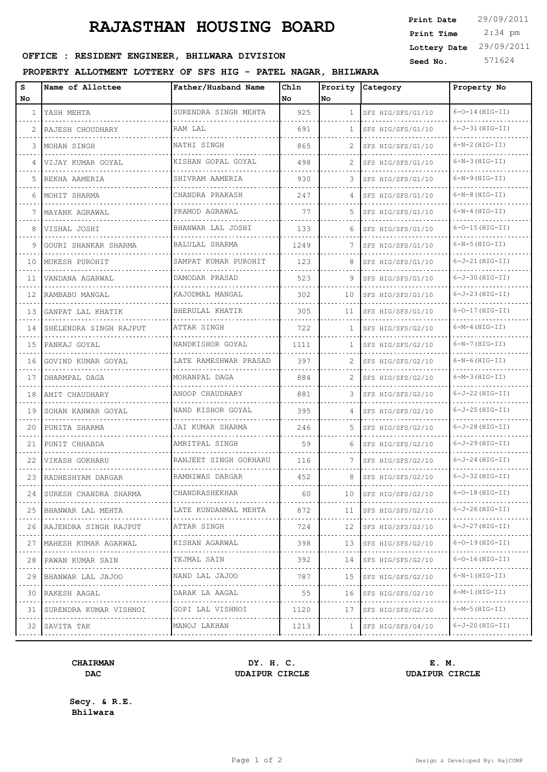# **RAJASTHAN HOUSING BOARD**

| <b>Print Date</b> | 29/09/2011 |
|-------------------|------------|
| Print Time        | $2:34$ pm  |
| Lottery Date      | 29/09/2011 |
| Seed No.          | 571624     |

# OFFICE : RESIDENT ENGINEER, BHILWARA DIVISION

# **PROPERTY ALLOTMENT LOTTERY OF SFS HIG - PATEL NAGAR, BHILWARA**

| s            | Name of Allottee               | Father/Husband Name   | Chln |                | Prority Category  | Property No           |
|--------------|--------------------------------|-----------------------|------|----------------|-------------------|-----------------------|
| No           |                                |                       | No   | No             |                   |                       |
| $\mathbf{1}$ | YASH MEHTA                     | SURENDRA SINGH MEHTA  | 925  | $\mathbf{1}$   | SFS HIG/SFS/G1/10 | $6 - 0 - 14$ (HIG-II) |
| 2            | RAJESH CHOUDHARY               | RAM LAL               | 691  | $\mathbf{1}$   | SFS HIG/SFS/G1/10 | $6 - J - 31$ (HIG-II) |
| 3            | MOHAN SINGH                    | NATHI SINGH           | 865  | 2              | SFS HIG/SFS/G1/10 | $6-N-2(HIG-TI)$       |
| 4            | VIJAY KUMAR GOYAL              | KISHAN GOPAL GOYAL    | 498  | 2              | SFS HIG/SFS/G1/10 | $6-N-3$ (HIG-II)      |
| 5            | REKHA AAMERIA                  | SHIVRAM AAMERIA       | 930  | 3              | SFS HIG/SFS/G1/10 | $6-N-9$ (HIG-II)      |
| 6            | MOHIT SHARMA                   | CHANDRA PRAKASH       | 247  | $\overline{4}$ | SFS HIG/SFS/G1/10 | $6-N-8$ (HIG-II)      |
| 7            | MAYANK AGRAWAL                 | PRAMOD AGRAWAL        | 77   | 5.             | SFS HIG/SFS/G1/10 | $6-N-4$ (HIG-II)      |
| 8            | VISHAL JOSHI                   | BHANWAR LAL JOSHI     | 133  | 6              | SFS HIG/SFS/G1/10 | $6 - 0 - 15$ (HIG-II) |
| 9            | GOURI SHANKAR SHARMA           | BALULAL SHARMA        | 1249 | 7              | SFS HIG/SFS/G1/10 | $6-N-5$ (HIG-II)      |
| 10           | MUKESH PUROHIT                 | SAMPAT KUMAR PUROHIT  | 123  | 8              | SFS HIG/SFS/G1/10 | $6-J-21(HIG-TI)$      |
| 11           | VANDANA AGARWAL                | DAMODAR PRASAD        | 523  | 9              | SFS HIG/SFS/G1/10 | $6-J-30$ (HIG-II)     |
| 12           | RAMBABU MANGAL                 | KAJODMAL MANGAL       | 302  | 10             | SFS HIG/SFS/G1/10 | $6-J-23(HIG-TI)$      |
| 13           | GANPAT LAL KHATIK              | BHERULAL KHATIK       | 305  | 11             | SFS HIG/SFS/G1/10 | $6-0-17$ (HIG-II)     |
| 14           | SHELENDRA SINGH RAJPUT         | ATTAR SINGH           | 722  | $\mathbf{1}$   | SFS HIG/SFS/G2/10 | $6-M-4$ (HIG-II)      |
| 15           | PANKAJ GOYAL                   | NANDKISHOR GOYAL      | 1111 | $\mathbf{1}$   | SFS HIG/SFS/G2/10 | $6-N-7$ (HIG-II)      |
| 16           | GOVIND KUMAR GOYAL             | LATE RAMESHWAR PRASAD | 397  | 2              | SFS HIG/SFS/G2/10 | $6-N-6$ (HIG-II)      |
| 17           | DHARMPAL DAGA                  | MOHANPAL DAGA         | 884  | $\mathcal{L}$  | SFS HIG/SFS/G2/10 | $6-M-3(HIG-TI)$       |
| 18           | AMIT CHAUDHARY                 | ANOOP CHAUDHARY       | 881  | 3              | SFS HIG/SFS/G2/10 | $6-J-22$ (HIG-II)     |
| 19           | SOHAN KANWAR GOYAL             | NAND KISHOR GOYAL     | 395  | $\overline{4}$ | SFS HIG/SFS/G2/10 | $6-J-25(HIG-TI)$      |
| 20           | PUNITA SHARMA                  | JAI KUMAR SHARMA      | 246  | .5             | SFS HIG/SFS/G2/10 | $6-J-28(HIG-TI)$      |
| 21           | PUNIT CHHABDA                  | AMRITPAL SINGH        | 59   | 6              | SFS HIG/SFS/G2/10 | $6-J-29$ (HIG-II)     |
| 22           | VIKASH GOKHARU                 | RANJEET SINGH GOKHARU | 116  | 7              | SFS HIG/SFS/G2/10 | $6-J-24$ (HIG-II)     |
| 23           | RADHESHYAM DARGAR              | RAMNIWAS DARGAR       | 452  | 8              | SFS HIG/SFS/G2/10 | $6-J-32$ (HIG-II)     |
| 24           | SURESH CHANDRA SHARMA          | CHANDRASHEKHAR        | 60   | 10             | SFS HIG/SFS/G2/10 | $6 - 0 - 18$ (HIG-II) |
|              | 25 BHANWAR LAL MEHTA           | LATE KUNDANMAL MEHTA  | 872  | 11             | SFS HIG/SFS/G2/10 | $6 - J - 26$ (HIG-II) |
|              | 26 RAJENDRA SINGH RAJPUT       | ATTAR SINGH           | 724  | 12             | SFS HIG/SFS/G2/10 | $6 - J - 27$ (HIG-II) |
|              | .<br>27   MAHESH KUMAR AGARWAL | KISHAN AGARWAL        | 398  | 13             | SFS HIG/SFS/G2/10 | $6 - 0 - 19$ (HIG-II) |
| 28           | PAWAN KUMAR SAIN               | TEJMAL SAIN           | 392  | 14             | SFS HIG/SFS/G2/10 | $6 - 0 - 16$ (HIG-II) |
| 29           | .<br>BHANWAR LAL JAJOO         | .<br>NAND LAL JAJOO   | 787  | 15             | SFS HIG/SFS/G2/10 | $6-N-1$ (HIG-II)      |
| 30           | .<br>RAKESH AAGAL              | DARAK LA AAGAL        | 55   | 16             | SFS HIG/SFS/G2/10 | 6-M-1 (HIG-II)        |
| 31           | .<br>SURENDRA KUMAR VISHNOI    | .<br>GOPI LAL VISHNOI | 1120 | 17             | SFS HIG/SFS/G2/10 | $6-M-5(HIG-TI)$       |
|              | 32 SAVITA TAK                  | MANOJ LAKHAN          | 1213 | 1              | SFS HIG/SFS/G4/10 | $6 - J - 20$ (HIG-II) |
|              |                                |                       |      |                | .                 | .                     |

# **CHAIRMAN DY. H. C. E. M. DAC UDAIPUR CIRCLE UDAIPUR CIRCLE**

**Secy. & R.E. Bhilwara**